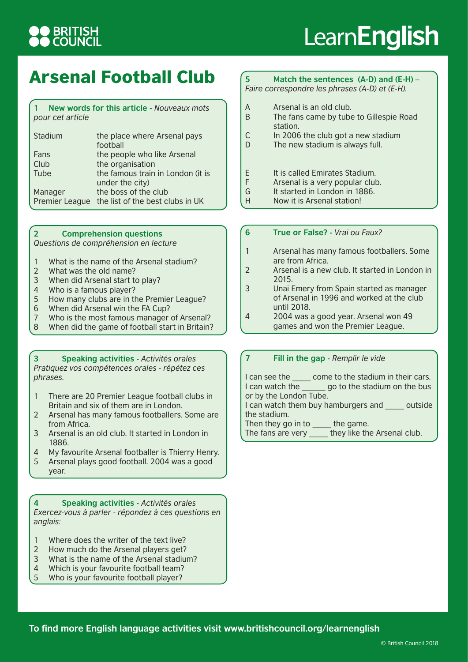## **BRITISH<br>COUNCIL**

# Learn**English**

### Arsenal Football Club

### **1 New words for this article -** *Nouveaux mots pour cet article*

| Stadium        | the place where Arsenal pays<br>football             |
|----------------|------------------------------------------------------|
| Fans           | the people who like Arsenal                          |
| Club           | the organisation                                     |
| Tube           | the famous train in London (it is<br>under the city) |
| Manager        | the boss of the club                                 |
| Premier League | the list of the best clubs in UK                     |

### **2 Comprehension questions**

*Questions de compréhension en lecture*

- 1 What is the name of the Arsenal stadium?
- 2 What was the old name?
- 3 When did Arsenal start to play?
- 4 Who is a famous player?

year.

- 5 How many clubs are in the Premier League?<br>6 When did Arsenal win the FA Cup?
- When did Arsenal win the FA Cup?
- 7 Who is the most famous manager of Arsenal?
- 8 When did the game of football start in Britain?

### **3 Speaking activities -** *Activités orales Pratiquez vos compétences orales - répétez ces phrases.*

- 1 There are 20 Premier League football clubs in Britain and six of them are in London.
- 2 Arsenal has many famous footballers. Some are from Africa.
- 3 Arsenal is an old club. It started in London in 1886.
- 4 My favourite Arsenal footballer is Thierry Henry.
- 5 Arsenal plays good football. 2004 was a good

**4 Speaking activities -** *Activités orales Exercez-vous à parler - répondez à ces questions en anglais:*

- 1 Where does the writer of the text live?
- 2 How much do the Arsenal players get?
- 3 What is the name of the Arsenal stadium?
- 4 Which is your favourite football team?
- 5 Who is your favourite football player?

### **5 Match the sentences (A-D) and (E-H) –** *Faire correspondre les phrases (A-D) et (E-H).*

- A Arsenal is an old club.<br>B The fans came by tube The fans came by tube to Gillespie Road station.
- C In 2006 the club got a new stadium
- D The new stadium is always full.
- E It is called Emirates Stadium.
- F Arsenal is a very popular club.
- G It started in London in 1886.
- H Now it is Arsenal station!

### **6 True or False? -** *Vrai ou Faux?*

- 1 Arsenal has many famous footballers. Some are from Africa.
- 2 Arsenal is a new club. It started in London in 2015.
- 3 Unai Emery from Spain started as manager of Arsenal in 1996 and worked at the club until 2018.
- 4 2004 was a good year. Arsenal won 49 games and won the Premier League.

### **7 Fill in the gap -** *Remplir le vide*

I can see the come to the stadium in their cars. I can watch the go to the stadium on the bus or by the London Tube. I can watch them buy hamburgers and outside the stadium. Then they go in to \_\_\_\_\_ the game.

The fans are very \_\_\_\_\_ they like the Arsenal club.